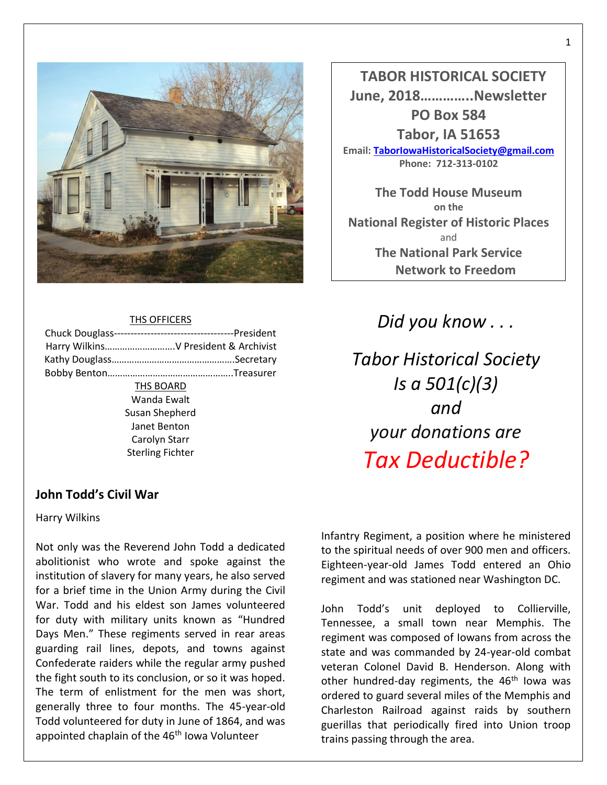

### THS OFFICERS

| Harry Wilkins V President & Archivist |
|---------------------------------------|
|                                       |
|                                       |
| THS BOARD                             |
| Wanda Ewalt                           |
| Susan Shepherd                        |
| Janet Benton                          |
| Carolyn Starr                         |
| <b>Sterling Fichter</b>               |
|                                       |
|                                       |

 **TABOR HISTORICAL SOCIETY June, 2018…………..Newsletter PO Box 584 Tabor, IA 51653 Email[: TaborIowaHistoricalSociety@gmail.com](mailto:TaborIowaHistoricalSociety@gmail.com) Phone: 712-313-0102**

**The Todd House Museum on the National Register of Historic Places** and **The National Park Service Network to Freedom**

*Did you know . . .*

*Tabor Historical Society Is a 501(c)(3) and your donations are Tax Deductible?*

# **John Todd's Civil War**

Harry Wilkins

Not only was the Reverend John Todd a dedicated abolitionist who wrote and spoke against the institution of slavery for many years, he also served for a brief time in the Union Army during the Civil War. Todd and his eldest son James volunteered for duty with military units known as "Hundred Days Men." These regiments served in rear areas guarding rail lines, depots, and towns against Confederate raiders while the regular army pushed the fight south to its conclusion, or so it was hoped. The term of enlistment for the men was short, generally three to four months. The 45-year-old Todd volunteered for duty in June of 1864, and was appointed chaplain of the 46<sup>th</sup> Iowa Volunteer

Infantry Regiment, a position where he ministered to the spiritual needs of over 900 men and officers. Eighteen-year-old James Todd entered an Ohio regiment and was stationed near Washington DC.

John Todd's unit deployed to Collierville, Tennessee, a small town near Memphis. The regiment was composed of Iowans from across the state and was commanded by 24-year-old combat veteran Colonel David B. Henderson. Along with other hundred-day regiments, the 46<sup>th</sup> Iowa was ordered to guard several miles of the Memphis and Charleston Railroad against raids by southern guerillas that periodically fired into Union troop trains passing through the area.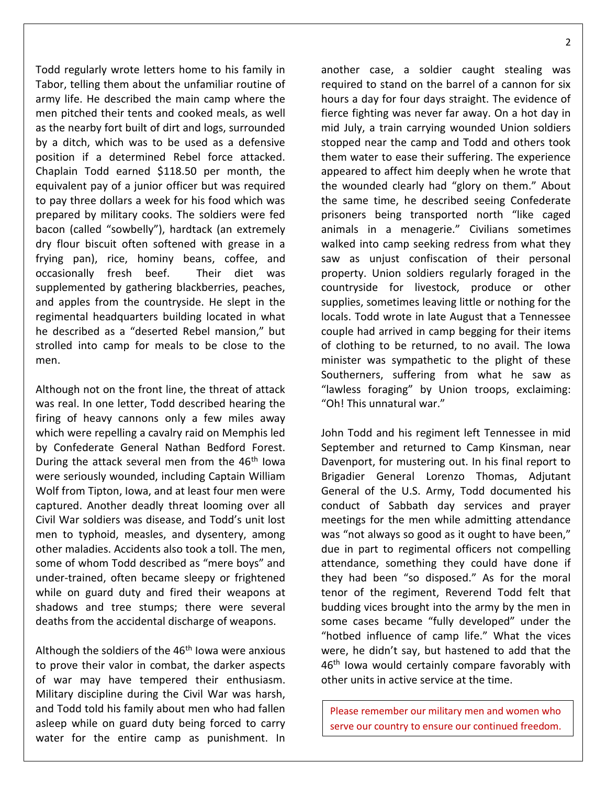Todd regularly wrote letters home to his family in Tabor, telling them about the unfamiliar routine of army life. He described the main camp where the men pitched their tents and cooked meals, as well as the nearby fort built of dirt and logs, surrounded by a ditch, which was to be used as a defensive position if a determined Rebel force attacked. Chaplain Todd earned \$118.50 per month, the equivalent pay of a junior officer but was required to pay three dollars a week for his food which was prepared by military cooks. The soldiers were fed bacon (called "sowbelly"), hardtack (an extremely dry flour biscuit often softened with grease in a frying pan), rice, hominy beans, coffee, and occasionally fresh beef. Their diet was supplemented by gathering blackberries, peaches, and apples from the countryside. He slept in the regimental headquarters building located in what he described as a "deserted Rebel mansion," but strolled into camp for meals to be close to the men.

Although not on the front line, the threat of attack was real. In one letter, Todd described hearing the firing of heavy cannons only a few miles away which were repelling a cavalry raid on Memphis led by Confederate General Nathan Bedford Forest. During the attack several men from the 46<sup>th</sup> Iowa were seriously wounded, including Captain William Wolf from Tipton, Iowa, and at least four men were captured. Another deadly threat looming over all Civil War soldiers was disease, and Todd's unit lost men to typhoid, measles, and dysentery, among other maladies. Accidents also took a toll. The men, some of whom Todd described as "mere boys" and under-trained, often became sleepy or frightened while on guard duty and fired their weapons at shadows and tree stumps; there were several deaths from the accidental discharge of weapons.

Although the soldiers of the  $46<sup>th</sup>$  Iowa were anxious to prove their valor in combat, the darker aspects of war may have tempered their enthusiasm. Military discipline during the Civil War was harsh, and Todd told his family about men who had fallen asleep while on guard duty being forced to carry water for the entire camp as punishment. In

another case, a soldier caught stealing was required to stand on the barrel of a cannon for six hours a day for four days straight. The evidence of fierce fighting was never far away. On a hot day in mid July, a train carrying wounded Union soldiers stopped near the camp and Todd and others took them water to ease their suffering. The experience appeared to affect him deeply when he wrote that the wounded clearly had "glory on them." About the same time, he described seeing Confederate prisoners being transported north "like caged animals in a menagerie." Civilians sometimes walked into camp seeking redress from what they saw as unjust confiscation of their personal property. Union soldiers regularly foraged in the countryside for livestock, produce or other supplies, sometimes leaving little or nothing for the locals. Todd wrote in late August that a Tennessee couple had arrived in camp begging for their items of clothing to be returned, to no avail. The Iowa minister was sympathetic to the plight of these Southerners, suffering from what he saw as "lawless foraging" by Union troops, exclaiming: "Oh! This unnatural war."

John Todd and his regiment left Tennessee in mid September and returned to Camp Kinsman, near Davenport, for mustering out. In his final report to Brigadier General Lorenzo Thomas, Adjutant General of the U.S. Army, Todd documented his conduct of Sabbath day services and prayer meetings for the men while admitting attendance was "not always so good as it ought to have been," due in part to regimental officers not compelling attendance, something they could have done if they had been "so disposed." As for the moral tenor of the regiment, Reverend Todd felt that budding vices brought into the army by the men in some cases became "fully developed" under the "hotbed influence of camp life." What the vices were, he didn't say, but hastened to add that the 46<sup>th</sup> Iowa would certainly compare favorably with other units in active service at the time.

Please remember our military men and women who serve our country to ensure our continued freedom.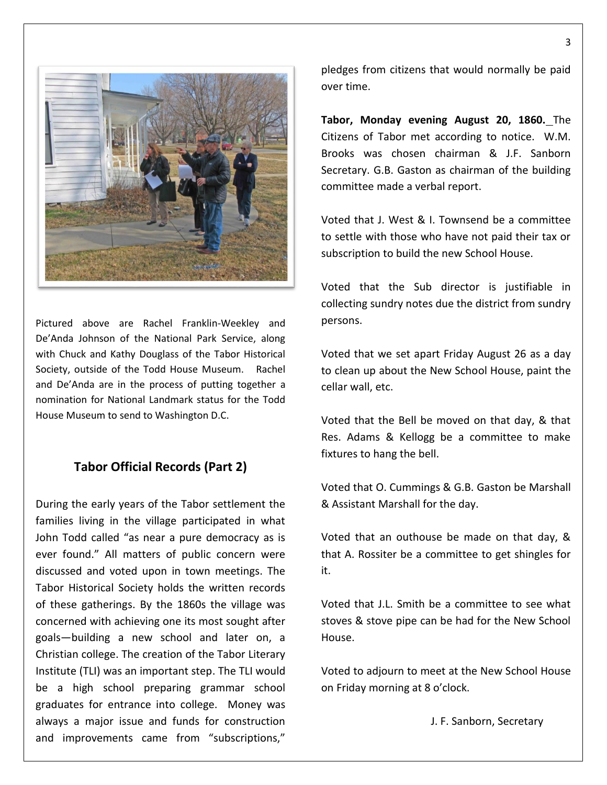

Pictured above are Rachel Franklin-Weekley and De'Anda Johnson of the National Park Service, along with Chuck and Kathy Douglass of the Tabor Historical Society, outside of the Todd House Museum. Rachel and De'Anda are in the process of putting together a nomination for National Landmark status for the Todd House Museum to send to Washington D.C.

## **Tabor Official Records (Part 2)**

During the early years of the Tabor settlement the families living in the village participated in what John Todd called "as near a pure democracy as is ever found." All matters of public concern were discussed and voted upon in town meetings. The Tabor Historical Society holds the written records of these gatherings. By the 1860s the village was concerned with achieving one its most sought after goals—building a new school and later on, a Christian college. The creation of the Tabor Literary Institute (TLI) was an important step. The TLI would be a high school preparing grammar school graduates for entrance into college. Money was always a major issue and funds for construction and improvements came from "subscriptions,"

pledges from citizens that would normally be paid over time.

**Tabor, Monday evening August 20, 1860.** The Citizens of Tabor met according to notice. W.M. Brooks was chosen chairman & J.F. Sanborn Secretary. G.B. Gaston as chairman of the building committee made a verbal report.

Voted that J. West & I. Townsend be a committee to settle with those who have not paid their tax or subscription to build the new School House.

Voted that the Sub director is justifiable in collecting sundry notes due the district from sundry persons.

Voted that we set apart Friday August 26 as a day to clean up about the New School House, paint the cellar wall, etc.

Voted that the Bell be moved on that day, & that Res. Adams & Kellogg be a committee to make fixtures to hang the bell.

Voted that O. Cummings & G.B. Gaston be Marshall & Assistant Marshall for the day.

Voted that an outhouse be made on that day, & that A. Rossiter be a committee to get shingles for it.

Voted that J.L. Smith be a committee to see what stoves & stove pipe can be had for the New School House.

Voted to adjourn to meet at the New School House on Friday morning at 8 o'clock.

J. F. Sanborn, Secretary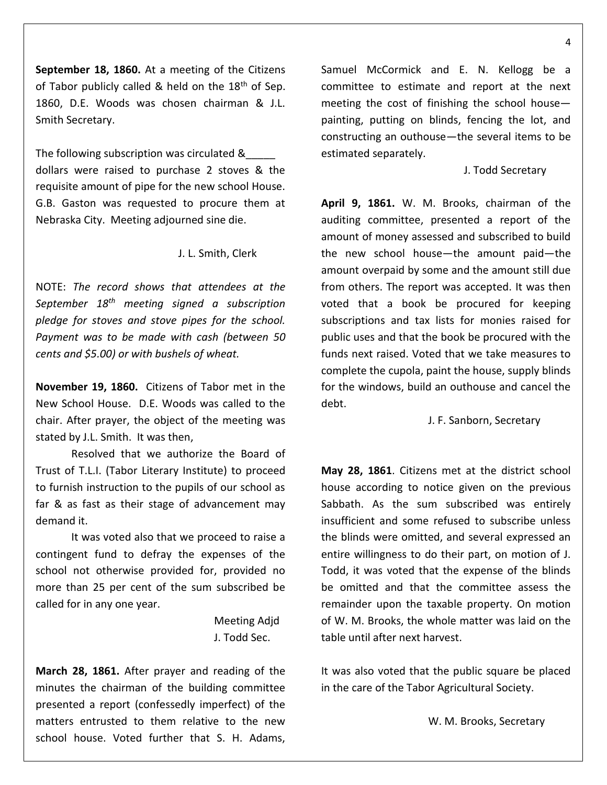**September 18, 1860.** At a meeting of the Citizens of Tabor publicly called & held on the  $18<sup>th</sup>$  of Sep. 1860, D.E. Woods was chosen chairman & J.L. Smith Secretary.

The following subscription was circulated &\_\_\_\_\_ dollars were raised to purchase 2 stoves & the requisite amount of pipe for the new school House. G.B. Gaston was requested to procure them at Nebraska City. Meeting adjourned sine die.

### J. L. Smith, Clerk

NOTE: *The record shows that attendees at the September 18th meeting signed a subscription pledge for stoves and stove pipes for the school. Payment was to be made with cash (between 50 cents and \$5.00) or with bushels of wheat.*

**November 19, 1860.** Citizens of Tabor met in the New School House. D.E. Woods was called to the chair. After prayer, the object of the meeting was stated by J.L. Smith. It was then,

Resolved that we authorize the Board of Trust of T.L.I. (Tabor Literary Institute) to proceed to furnish instruction to the pupils of our school as far & as fast as their stage of advancement may demand it.

It was voted also that we proceed to raise a contingent fund to defray the expenses of the school not otherwise provided for, provided no more than 25 per cent of the sum subscribed be called for in any one year.

> Meeting Adjd J. Todd Sec.

**March 28, 1861.** After prayer and reading of the minutes the chairman of the building committee presented a report (confessedly imperfect) of the matters entrusted to them relative to the new school house. Voted further that S. H. Adams,

Samuel McCormick and E. N. Kellogg be a committee to estimate and report at the next meeting the cost of finishing the school house painting, putting on blinds, fencing the lot, and constructing an outhouse—the several items to be estimated separately.

### J. Todd Secretary

**April 9, 1861.** W. M. Brooks, chairman of the auditing committee, presented a report of the amount of money assessed and subscribed to build the new school house—the amount paid—the amount overpaid by some and the amount still due from others. The report was accepted. It was then voted that a book be procured for keeping subscriptions and tax lists for monies raised for public uses and that the book be procured with the funds next raised. Voted that we take measures to complete the cupola, paint the house, supply blinds for the windows, build an outhouse and cancel the debt.

### J. F. Sanborn, Secretary

**May 28, 1861**. Citizens met at the district school house according to notice given on the previous Sabbath. As the sum subscribed was entirely insufficient and some refused to subscribe unless the blinds were omitted, and several expressed an entire willingness to do their part, on motion of J. Todd, it was voted that the expense of the blinds be omitted and that the committee assess the remainder upon the taxable property. On motion of W. M. Brooks, the whole matter was laid on the table until after next harvest.

It was also voted that the public square be placed in the care of the Tabor Agricultural Society.

W. M. Brooks, Secretary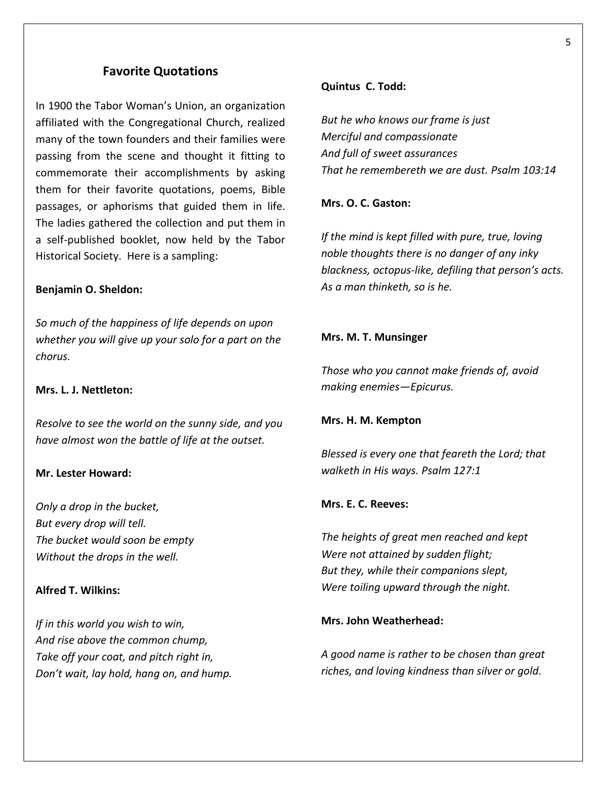# **Favorite Quotations**

In 1900 the Tabor Woman's Union, an organization affiliated with the Congregational Church, realized many of the town founders and their families were passing from the scene and thought it fitting to commemorate their accomplishments by asking them for their favorite quotations, poems, Bible passages, or aphorisms that guided them in life. The ladies gathered the collection and put them in a self-published booklet, now held by the Tabor Historical Society. Here is a sampling:

### **Benjamin O. Sheldon:**

*So much of the happiness of life depends on upon whether you will give up your solo for a part on the chorus.*

### **Mrs. L. J. Nettleton:**

*Resolve to see the world on the sunny side, and you have almost won the battle of life at the outset.*

### **Mr. Lester Howard:**

*Only a drop in the bucket, But every drop will tell. The bucket would soon be empty Without the drops in the well.*

## **Alfred T. Wilkins:**

*If in this world you wish to win, And rise above the common chump, Take off your coat, and pitch right in, Don't wait, lay hold, hang on, and hump.*

### **Quintus C. Todd:**

*But he who knows our frame is just Merciful and compassionate And full of sweet assurances That he remembereth we are dust. Psalm 103:14*

## **Mrs. O. C. Gaston:**

*If the mind is kept filled with pure, true, loving noble thoughts there is no danger of any inky blackness, octopus-like, defiling that person's acts. As a man thinketh, so is he.*

### **Mrs. M. T. Munsinger**

*Those who you cannot make friends of, avoid making enemies—Epicurus.*

### **Mrs. H. M. Kempton**

*Blessed is every one that feareth the Lord; that walketh in His ways. Psalm 127:1*

## **Mrs. E. C. Reeves:**

*The heights of great men reached and kept Were not attained by sudden flight; But they, while their companions slept, Were toiling upward through the night.*

### **Mrs. John Weatherhead:**

*A good name is rather to be chosen than great riches, and loving kindness than silver or gold.*